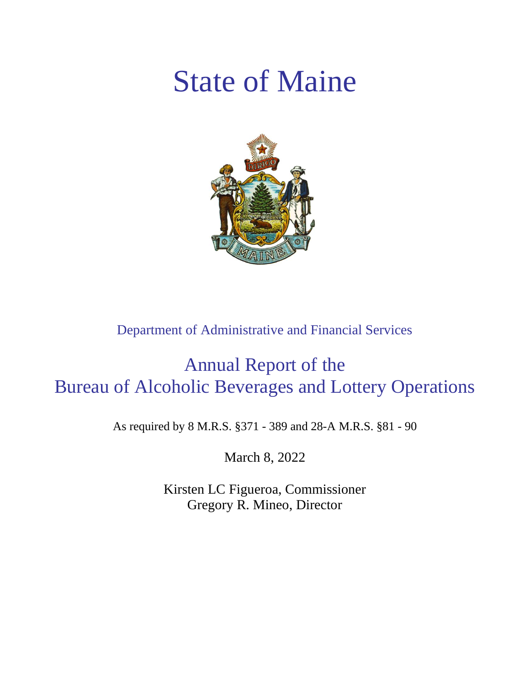# State of Maine



Department of Administrative and Financial Services

## Annual Report of the Bureau of Alcoholic Beverages and Lottery Operations

As required by 8 M.R.S. §371 - 389 and 28-A M.R.S. §81 - 90

March 8, 2022

Kirsten LC Figueroa, Commissioner Gregory R. Mineo, Director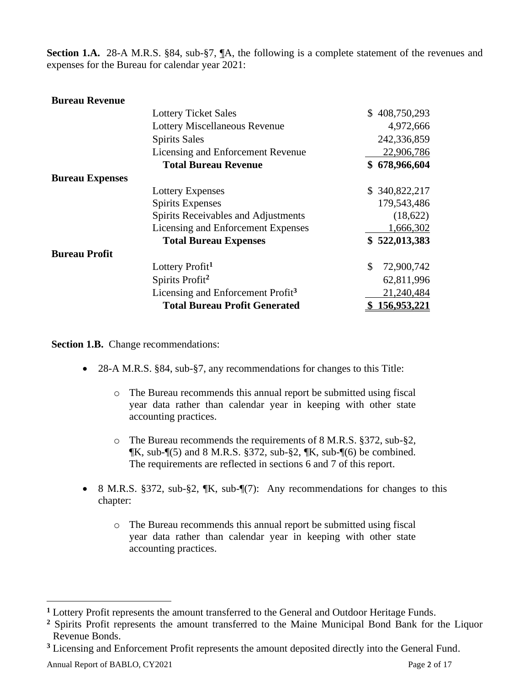**Section 1.A.** 28-A M.R.S. §84, sub-§7, ¶A, the following is a complete statement of the revenues and expenses for the Bureau for calendar year 2021:

#### **Bureau Revenue**

|                        | <b>Lottery Ticket Sales</b>                   | \$408,750,293    |
|------------------------|-----------------------------------------------|------------------|
|                        | <b>Lottery Miscellaneous Revenue</b>          | 4,972,666        |
|                        | <b>Spirits Sales</b>                          | 242,336,859      |
|                        | Licensing and Enforcement Revenue             | 22,906,786       |
|                        | <b>Total Bureau Revenue</b>                   | \$678,966,604    |
| <b>Bureau Expenses</b> |                                               |                  |
|                        | <b>Lottery Expenses</b>                       | \$340,822,217    |
|                        | <b>Spirits Expenses</b>                       | 179,543,486      |
|                        | Spirits Receivables and Adjustments           | (18,622)         |
|                        | Licensing and Enforcement Expenses            | 1,666,302        |
|                        | <b>Total Bureau Expenses</b>                  | \$522,013,383    |
| <b>Bureau Profit</b>   |                                               |                  |
|                        | Lottery Profit <sup>1</sup>                   | 72,900,742<br>\$ |
|                        | Spirits Profit <sup>2</sup>                   | 62,811,996       |
|                        | Licensing and Enforcement Profit <sup>3</sup> | 21,240,484       |
|                        | <b>Total Bureau Profit Generated</b>          | 156,953,221      |

**Section 1.B.** Change recommendations:

- 28-A M.R.S. §84, sub-§7, any recommendations for changes to this Title:
	- o The Bureau recommends this annual report be submitted using fiscal year data rather than calendar year in keeping with other state accounting practices.
	- o The Bureau recommends the requirements of 8 M.R.S. §372, sub-§2,  $\mathbb{I}$ K, sub- $\mathbb{I}$ (5) and 8 M.R.S. §372, sub-§2,  $\mathbb{I}$ K, sub- $\mathbb{I}$ (6) be combined. The requirements are reflected in sections 6 and 7 of this report.
- 8 M.R.S. §372, sub-§2, ¶K, sub-¶(7): Any recommendations for changes to this chapter:
	- o The Bureau recommends this annual report be submitted using fiscal year data rather than calendar year in keeping with other state accounting practices.

**<sup>1</sup>** Lottery Profit represents the amount transferred to the General and Outdoor Heritage Funds.

**<sup>2</sup>** Spirits Profit represents the amount transferred to the Maine Municipal Bond Bank for the Liquor Revenue Bonds.

**<sup>3</sup>** Licensing and Enforcement Profit represents the amount deposited directly into the General Fund.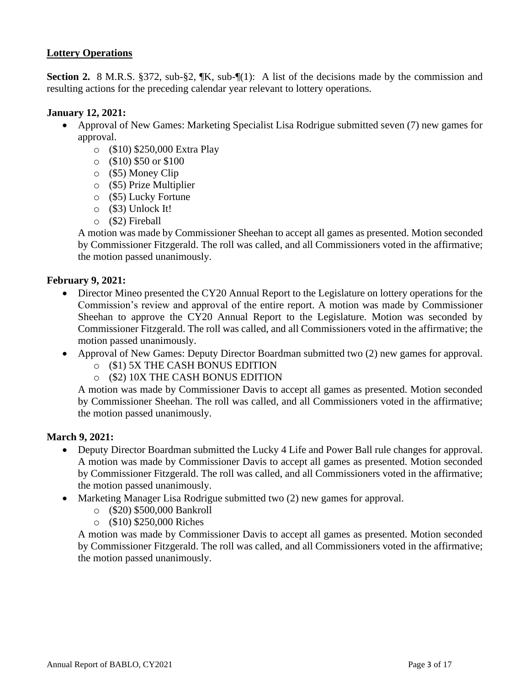#### **Lottery Operations**

**Section 2.** 8 M.R.S. §372, sub-§2, ¶K, sub-¶(1): A list of the decisions made by the commission and resulting actions for the preceding calendar year relevant to lottery operations.

#### **January 12, 2021:**

- Approval of New Games: Marketing Specialist Lisa Rodrigue submitted seven (7) new games for approval.
	- o (\$10) \$250,000 Extra Play
	- o (\$10) \$50 or \$100
	- o (\$5) Money Clip
	- o (\$5) Prize Multiplier
	- o (\$5) Lucky Fortune
	- o (\$3) Unlock It!
	- o (\$2) Fireball

A motion was made by Commissioner Sheehan to accept all games as presented. Motion seconded by Commissioner Fitzgerald. The roll was called, and all Commissioners voted in the affirmative; the motion passed unanimously.

#### **February 9, 2021:**

- Director Mineo presented the CY20 Annual Report to the Legislature on lottery operations for the Commission's review and approval of the entire report. A motion was made by Commissioner Sheehan to approve the CY20 Annual Report to the Legislature. Motion was seconded by Commissioner Fitzgerald. The roll was called, and all Commissioners voted in the affirmative; the motion passed unanimously.
- Approval of New Games: Deputy Director Boardman submitted two (2) new games for approval.
	- o (\$1) 5X THE CASH BONUS EDITION
	- o (\$2) 10X THE CASH BONUS EDITION

A motion was made by Commissioner Davis to accept all games as presented. Motion seconded by Commissioner Sheehan. The roll was called, and all Commissioners voted in the affirmative; the motion passed unanimously.

#### **March 9, 2021:**

- Deputy Director Boardman submitted the Lucky 4 Life and Power Ball rule changes for approval. A motion was made by Commissioner Davis to accept all games as presented. Motion seconded by Commissioner Fitzgerald. The roll was called, and all Commissioners voted in the affirmative; the motion passed unanimously.
- Marketing Manager Lisa Rodrigue submitted two (2) new games for approval.
	- o (\$20) \$500,000 Bankroll
		- o (\$10) \$250,000 Riches

A motion was made by Commissioner Davis to accept all games as presented. Motion seconded by Commissioner Fitzgerald. The roll was called, and all Commissioners voted in the affirmative; the motion passed unanimously.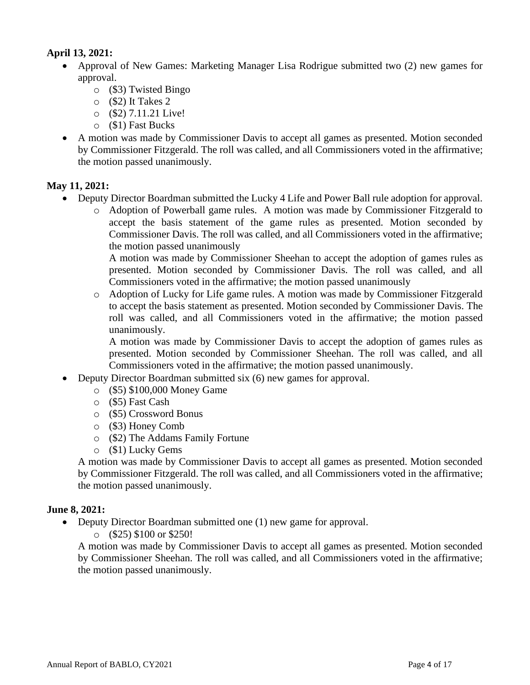#### **April 13, 2021:**

- Approval of New Games: Marketing Manager Lisa Rodrigue submitted two (2) new games for approval.
	- o (\$3) Twisted Bingo
	- $\circ$  (\$2) It Takes 2
	- o (\$2) 7.11.21 Live!
	- o (\$1) Fast Bucks
- A motion was made by Commissioner Davis to accept all games as presented. Motion seconded by Commissioner Fitzgerald. The roll was called, and all Commissioners voted in the affirmative; the motion passed unanimously.

#### **May 11, 2021:**

- Deputy Director Boardman submitted the Lucky 4 Life and Power Ball rule adoption for approval.
	- o Adoption of Powerball game rules. A motion was made by Commissioner Fitzgerald to accept the basis statement of the game rules as presented. Motion seconded by Commissioner Davis. The roll was called, and all Commissioners voted in the affirmative; the motion passed unanimously

A motion was made by Commissioner Sheehan to accept the adoption of games rules as presented. Motion seconded by Commissioner Davis. The roll was called, and all Commissioners voted in the affirmative; the motion passed unanimously

o Adoption of Lucky for Life game rules. A motion was made by Commissioner Fitzgerald to accept the basis statement as presented. Motion seconded by Commissioner Davis. The roll was called, and all Commissioners voted in the affirmative; the motion passed unanimously.

A motion was made by Commissioner Davis to accept the adoption of games rules as presented. Motion seconded by Commissioner Sheehan. The roll was called, and all Commissioners voted in the affirmative; the motion passed unanimously.

- Deputy Director Boardman submitted six (6) new games for approval.
	- o (\$5) \$100,000 Money Game
	- o (\$5) Fast Cash
	- o (\$5) Crossword Bonus
	- o (\$3) Honey Comb
	- o (\$2) The Addams Family Fortune
	- o (\$1) Lucky Gems

A motion was made by Commissioner Davis to accept all games as presented. Motion seconded by Commissioner Fitzgerald. The roll was called, and all Commissioners voted in the affirmative; the motion passed unanimously.

#### **June 8, 2021:**

• Deputy Director Boardman submitted one (1) new game for approval.

o (\$25) \$100 or \$250!

A motion was made by Commissioner Davis to accept all games as presented. Motion seconded by Commissioner Sheehan. The roll was called, and all Commissioners voted in the affirmative; the motion passed unanimously.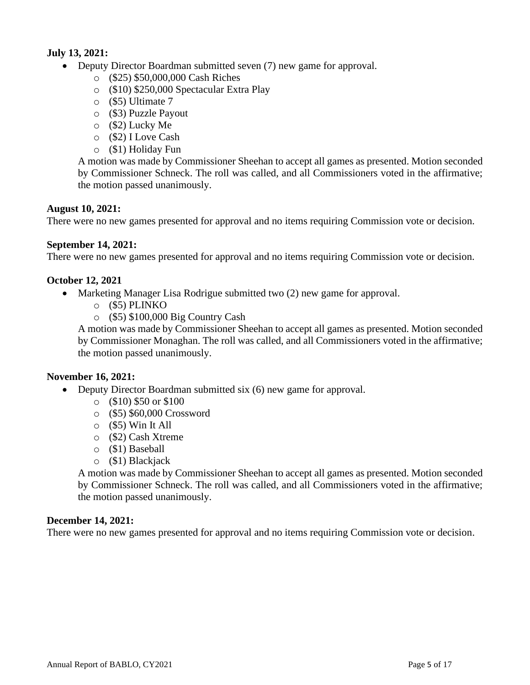#### **July 13, 2021:**

- Deputy Director Boardman submitted seven (7) new game for approval.
	- o (\$25) \$50,000,000 Cash Riches
	- o (\$10) \$250,000 Spectacular Extra Play
	- o (\$5) Ultimate 7
	- o (\$3) Puzzle Payout
	- o (\$2) Lucky Me
	- o (\$2) I Love Cash
	- o (\$1) Holiday Fun

A motion was made by Commissioner Sheehan to accept all games as presented. Motion seconded by Commissioner Schneck. The roll was called, and all Commissioners voted in the affirmative; the motion passed unanimously.

#### **August 10, 2021:**

There were no new games presented for approval and no items requiring Commission vote or decision.

#### **September 14, 2021:**

There were no new games presented for approval and no items requiring Commission vote or decision.

#### **October 12, 2021**

- Marketing Manager Lisa Rodrigue submitted two (2) new game for approval.
	- o (\$5) PLINKO
	- o (\$5) \$100,000 Big Country Cash

A motion was made by Commissioner Sheehan to accept all games as presented. Motion seconded by Commissioner Monaghan. The roll was called, and all Commissioners voted in the affirmative; the motion passed unanimously.

#### **November 16, 2021:**

- Deputy Director Boardman submitted six (6) new game for approval.
	- $\circ$  (\$10) \$50 or \$100
	- o (\$5) \$60,000 Crossword
	- $\circ$  (\$5) Win It All
	- o (\$2) Cash Xtreme
	- o (\$1) Baseball
	- o (\$1) Blackjack

A motion was made by Commissioner Sheehan to accept all games as presented. Motion seconded by Commissioner Schneck. The roll was called, and all Commissioners voted in the affirmative; the motion passed unanimously.

#### **December 14, 2021:**

There were no new games presented for approval and no items requiring Commission vote or decision.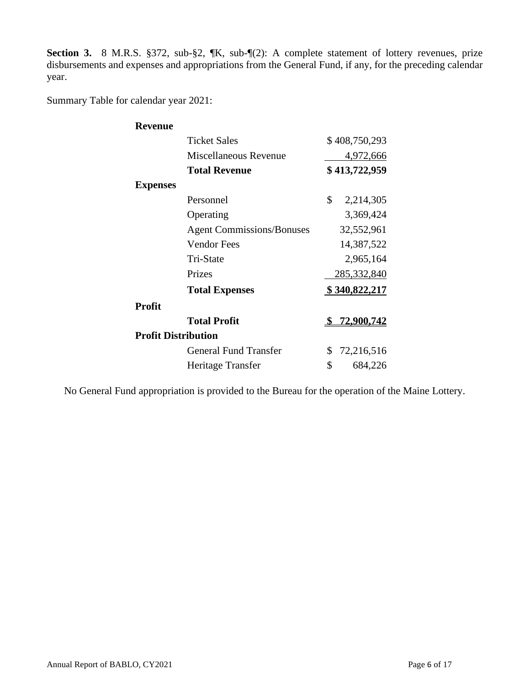Section 3. 8 M.R.S. §372, sub-§2, ¶K, sub-¶(2): A complete statement of lottery revenues, prize disbursements and expenses and appropriations from the General Fund, if any, for the preceding calendar year.

Summary Table for calendar year 2021:

| <b>Revenue</b>             |                                  |                     |
|----------------------------|----------------------------------|---------------------|
|                            | <b>Ticket Sales</b>              | \$408,750,293       |
|                            | Miscellaneous Revenue            | 4,972,666           |
|                            | <b>Total Revenue</b>             | \$413,722,959       |
| <b>Expenses</b>            |                                  |                     |
|                            | Personnel                        | \$<br>2,214,305     |
|                            | Operating                        | 3,369,424           |
|                            | <b>Agent Commissions/Bonuses</b> | 32,552,961          |
|                            | <b>Vendor Fees</b>               | 14,387,522          |
|                            | Tri-State                        | 2,965,164           |
|                            | Prizes                           | 285,332,840         |
|                            | <b>Total Expenses</b>            | \$340,822,217       |
| <b>Profit</b>              |                                  |                     |
|                            | <b>Total Profit</b>              | <u>\$72,900,742</u> |
| <b>Profit Distribution</b> |                                  |                     |
|                            | <b>General Fund Transfer</b>     | \$<br>72,216,516    |
|                            | Heritage Transfer                | \$<br>684,226       |

No General Fund appropriation is provided to the Bureau for the operation of the Maine Lottery.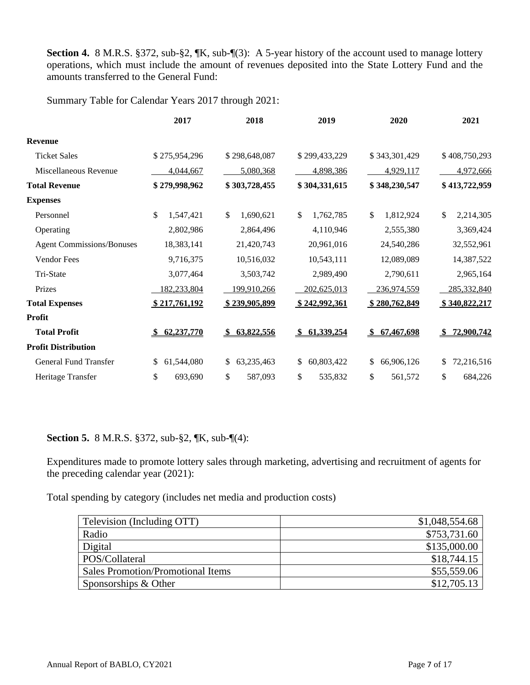**Section 4.** 8 M.R.S. §372, sub-§2,  $\mathbb{K}$ , sub- $\mathbb{I}(3)$ : A 5-year history of the account used to manage lottery operations, which must include the amount of revenues deposited into the State Lottery Fund and the amounts transferred to the General Fund:

Summary Table for Calendar Years 2017 through 2021:

|                                  | 2017             | 2018                        | 2019             | 2020                        | 2021              |
|----------------------------------|------------------|-----------------------------|------------------|-----------------------------|-------------------|
| <b>Revenue</b>                   |                  |                             |                  |                             |                   |
| <b>Ticket Sales</b>              | \$275,954,296    | \$298,648,087               | \$299,433,229    | \$343,301,429               | \$408,750,293     |
| Miscellaneous Revenue            | 4,044,667        | 5,080,368                   | 4,898,386        | 4,929,117                   | 4,972,666         |
| <b>Total Revenue</b>             | \$279,998,962    | \$303,728,455               | \$304,331,615    | \$348,230,547               | \$413,722,959     |
| <b>Expenses</b>                  |                  |                             |                  |                             |                   |
| Personnel                        | \$<br>1,547,421  | \$<br>1,690,621             | 1,762,785<br>\$  | \$<br>1,812,924             | 2,214,305<br>\$   |
| Operating                        | 2,802,986        | 2,864,496                   | 4,110,946        | 2,555,380                   | 3,369,424         |
| <b>Agent Commissions/Bonuses</b> | 18,383,141       | 21,420,743                  | 20,961,016       | 24,540,286                  | 32,552,961        |
| Vendor Fees                      | 9,716,375        | 10,516,032                  | 10,543,111       | 12,089,089                  | 14,387,522        |
| Tri-State                        | 3,077,464        | 3,503,742                   | 2,989,490        | 2,790,611                   | 2,965,164         |
| Prizes                           | 182,233,804      | 199,910,266                 | 202,625,013      | 236,974,559                 | 285,332,840       |
| <b>Total Expenses</b>            | \$217,761,192    | \$239,905,899               | \$242,992,361    | \$280,762,849               | \$340,822,217     |
| <b>Profit</b>                    |                  |                             |                  |                             |                   |
| <b>Total Profit</b>              | 62,237,770       | 63,822,556<br><sup>\$</sup> | \$61,339,254     | 67,467,698<br><sup>\$</sup> | 72,900,742<br>SS. |
| <b>Profit Distribution</b>       |                  |                             |                  |                             |                   |
| General Fund Transfer            | 61,544,080<br>\$ | \$<br>63,235,463            | 60,803,422<br>\$ | \$<br>66,906,126            | 72,216,516<br>\$  |
| Heritage Transfer                | \$<br>693,690    | \$<br>587,093               | \$<br>535,832    | \$<br>561,572               | \$<br>684,226     |

#### **Section 5.** 8 M.R.S. §372, sub-§2, ¶K, sub-¶(4):

Expenditures made to promote lottery sales through marketing, advertising and recruitment of agents for the preceding calendar year (2021):

Total spending by category (includes net media and production costs)

| Television (Including OTT)        | \$1,048,554.68 |
|-----------------------------------|----------------|
| Radio                             | \$753,731.60   |
| Digital                           | \$135,000.00   |
| POS/Collateral                    | \$18,744.15    |
| Sales Promotion/Promotional Items | \$55,559.06    |
| Sponsorships & Other              | \$12,705.13    |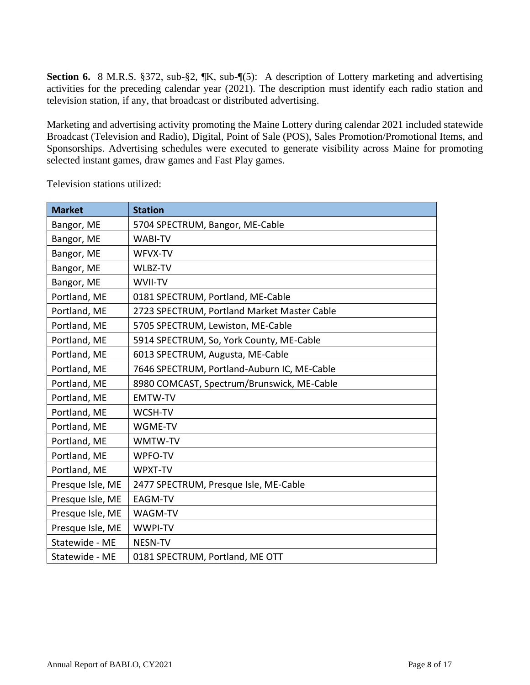**Section 6.** 8 M.R.S. §372, sub-§2, ¶K, sub-¶(5): A description of Lottery marketing and advertising activities for the preceding calendar year (2021). The description must identify each radio station and television station, if any, that broadcast or distributed advertising.

Marketing and advertising activity promoting the Maine Lottery during calendar 2021 included statewide Broadcast (Television and Radio), Digital, Point of Sale (POS), Sales Promotion/Promotional Items, and Sponsorships. Advertising schedules were executed to generate visibility across Maine for promoting selected instant games, draw games and Fast Play games.

| <b>Market</b>    | <b>Station</b>                              |
|------------------|---------------------------------------------|
| Bangor, ME       | 5704 SPECTRUM, Bangor, ME-Cable             |
| Bangor, ME       | <b>WABI-TV</b>                              |
| Bangor, ME       | WFVX-TV                                     |
| Bangor, ME       | WLBZ-TV                                     |
| Bangor, ME       | WVII-TV                                     |
| Portland, ME     | 0181 SPECTRUM, Portland, ME-Cable           |
| Portland, ME     | 2723 SPECTRUM, Portland Market Master Cable |
| Portland, ME     | 5705 SPECTRUM, Lewiston, ME-Cable           |
| Portland, ME     | 5914 SPECTRUM, So, York County, ME-Cable    |
| Portland, ME     | 6013 SPECTRUM, Augusta, ME-Cable            |
| Portland, ME     | 7646 SPECTRUM, Portland-Auburn IC, ME-Cable |
| Portland, ME     | 8980 COMCAST, Spectrum/Brunswick, ME-Cable  |
| Portland, ME     | <b>EMTW-TV</b>                              |
| Portland, ME     | WCSH-TV                                     |
| Portland, ME     | WGME-TV                                     |
| Portland, ME     | WMTW-TV                                     |
| Portland, ME     | WPFO-TV                                     |
| Portland, ME     | WPXT-TV                                     |
| Presque Isle, ME | 2477 SPECTRUM, Presque Isle, ME-Cable       |
| Presque Isle, ME | <b>EAGM-TV</b>                              |
| Presque Isle, ME | WAGM-TV                                     |
| Presque Isle, ME | WWPI-TV                                     |
| Statewide - ME   | NESN-TV                                     |
| Statewide - ME   | 0181 SPECTRUM, Portland, ME OTT             |

Television stations utilized: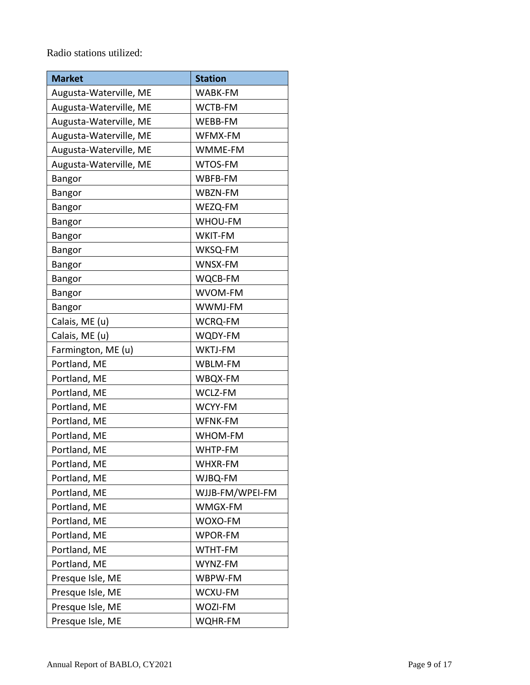Radio stations utilized:

| <b>Market</b>          | <b>Station</b>  |  |
|------------------------|-----------------|--|
| Augusta-Waterville, ME | WABK-FM         |  |
| Augusta-Waterville, ME | WCTB-FM         |  |
| Augusta-Waterville, ME | WEBB-FM         |  |
| Augusta-Waterville, ME | WFMX-FM         |  |
| Augusta-Waterville, ME | WMME-FM         |  |
| Augusta-Waterville, ME | WTOS-FM         |  |
| <b>Bangor</b>          | WBFB-FM         |  |
| <b>Bangor</b>          | WBZN-FM         |  |
| Bangor                 | WEZQ-FM         |  |
| Bangor                 | <b>WHOU-FM</b>  |  |
| <b>Bangor</b>          | WKIT-FM         |  |
| Bangor                 | WKSQ-FM         |  |
| <b>Bangor</b>          | WNSX-FM         |  |
| Bangor                 | WQCB-FM         |  |
| Bangor                 | WVOM-FM         |  |
| <b>Bangor</b>          | WWMJ-FM         |  |
| Calais, ME (u)         | <b>WCRQ-FM</b>  |  |
| Calais, ME (u)         | WQDY-FM         |  |
| Farmington, ME (u)     | WKTJ-FM         |  |
| Portland, ME           | WBLM-FM         |  |
| Portland, ME           | WBQX-FM         |  |
| Portland, ME           | WCLZ-FM         |  |
| Portland, ME           | WCYY-FM         |  |
| Portland, ME           | WFNK-FM         |  |
| Portland, ME           | WHOM-FM         |  |
| Portland, ME           | WHTP-FM         |  |
| Portland, ME           | WHXR-FM         |  |
| Portland, ME           | WJBQ-FM         |  |
| Portland, ME           | WJJB-FM/WPEI-FM |  |
| Portland, ME           | WMGX-FM         |  |
| Portland, ME           | WOXO-FM         |  |
| Portland, ME           | WPOR-FM         |  |
| Portland, ME           | WTHT-FM         |  |
| Portland, ME           | WYNZ-FM         |  |
| Presque Isle, ME       | WBPW-FM         |  |
| Presque Isle, ME       | WCXU-FM         |  |
| Presque Isle, ME       | WOZI-FM         |  |
| Presque Isle, ME       | WQHR-FM         |  |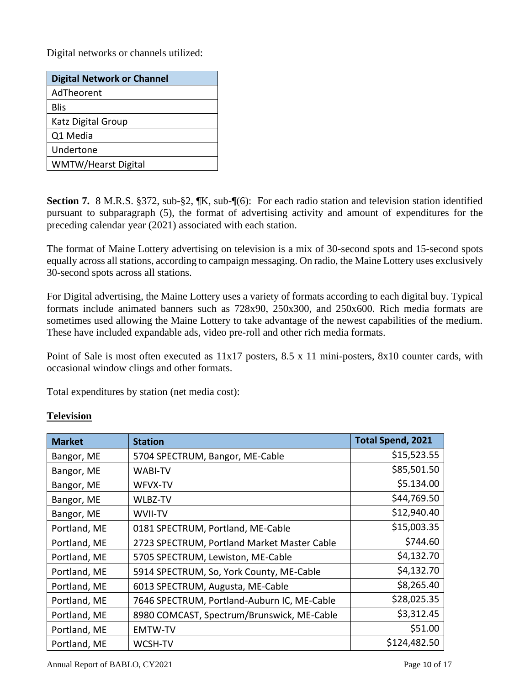Digital networks or channels utilized:

| <b>Digital Network or Channel</b> |
|-----------------------------------|
| AdTheorent                        |
| Blis                              |
| Katz Digital Group                |
| Q1 Media                          |
| Undertone                         |
| WMTW/Hearst Digital               |

**Section 7.** 8 M.R.S. §372, sub-§2, ¶K, sub-¶(6): For each radio station and television station identified pursuant to subparagraph (5), the format of advertising activity and amount of expenditures for the preceding calendar year (2021) associated with each station.

The format of Maine Lottery advertising on television is a mix of 30-second spots and 15-second spots equally across all stations, according to campaign messaging. On radio, the Maine Lottery uses exclusively 30-second spots across all stations.

For Digital advertising, the Maine Lottery uses a variety of formats according to each digital buy. Typical formats include animated banners such as 728x90, 250x300, and 250x600. Rich media formats are sometimes used allowing the Maine Lottery to take advantage of the newest capabilities of the medium. These have included expandable ads, video pre-roll and other rich media formats.

Point of Sale is most often executed as 11x17 posters, 8.5 x 11 mini-posters, 8x10 counter cards, with occasional window clings and other formats.

Total expenditures by station (net media cost):

| <b>Market</b> | <b>Station</b>                              | <b>Total Spend, 2021</b> |
|---------------|---------------------------------------------|--------------------------|
| Bangor, ME    | 5704 SPECTRUM, Bangor, ME-Cable             | \$15,523.55              |
| Bangor, ME    | <b>WABI-TV</b>                              | \$85,501.50              |
| Bangor, ME    | WFVX-TV                                     | \$5.134.00               |
| Bangor, ME    | <b>WLBZ-TV</b>                              | \$44,769.50              |
| Bangor, ME    | WVII-TV                                     | \$12,940.40              |
| Portland, ME  | 0181 SPECTRUM, Portland, ME-Cable           | \$15,003.35              |
| Portland, ME  | 2723 SPECTRUM, Portland Market Master Cable | \$744.60                 |
| Portland, ME  | 5705 SPECTRUM, Lewiston, ME-Cable           | \$4,132.70               |
| Portland, ME  | 5914 SPECTRUM, So, York County, ME-Cable    | \$4,132.70               |
| Portland, ME  | 6013 SPECTRUM, Augusta, ME-Cable            | \$8,265.40               |
| Portland, ME  | 7646 SPECTRUM, Portland-Auburn IC, ME-Cable | \$28,025.35              |
| Portland, ME  | 8980 COMCAST, Spectrum/Brunswick, ME-Cable  | \$3,312.45               |
| Portland, ME  | <b>EMTW-TV</b>                              | \$51.00                  |
| Portland, ME  | <b>WCSH-TV</b>                              | \$124,482.50             |

#### **Television**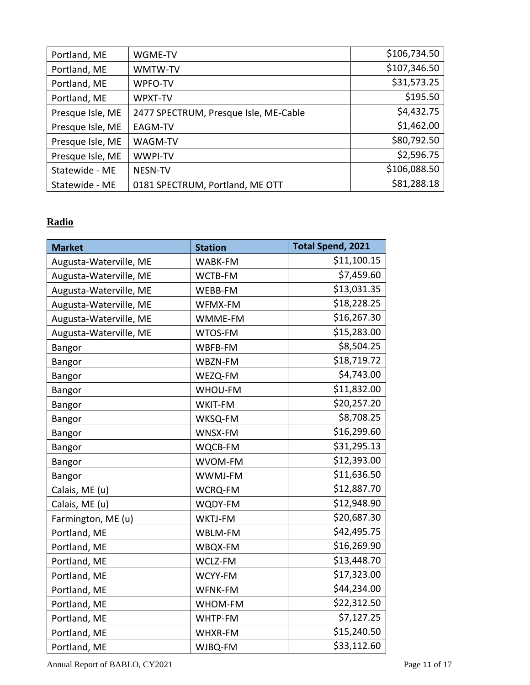| Portland, ME     | WGME-TV                               | \$106,734.50 |
|------------------|---------------------------------------|--------------|
| Portland, ME     | WMTW-TV                               | \$107,346.50 |
| Portland, ME     | WPFO-TV                               | \$31,573.25  |
| Portland, ME     | WPXT-TV                               | \$195.50     |
| Presque Isle, ME | 2477 SPECTRUM, Presque Isle, ME-Cable | \$4,432.75   |
| Presque Isle, ME | EAGM-TV                               | \$1,462.00   |
| Presque Isle, ME | WAGM-TV                               | \$80,792.50  |
| Presque Isle, ME | <b>WWPI-TV</b>                        | \$2,596.75   |
| Statewide - ME   | <b>NESN-TV</b>                        | \$106,088.50 |
| Statewide - ME   | 0181 SPECTRUM, Portland, ME OTT       | \$81,288.18  |

### **Radio**

|                        |                | <b>Total Spend, 2021</b> |
|------------------------|----------------|--------------------------|
| <b>Market</b>          | <b>Station</b> |                          |
| Augusta-Waterville, ME | WABK-FM        | \$11,100.15              |
| Augusta-Waterville, ME | WCTB-FM        | \$7,459.60               |
| Augusta-Waterville, ME | WEBB-FM        | \$13,031.35              |
| Augusta-Waterville, ME | WFMX-FM        | \$18,228.25              |
| Augusta-Waterville, ME | WMME-FM        | \$16,267.30              |
| Augusta-Waterville, ME | WTOS-FM        | \$15,283.00              |
| <b>Bangor</b>          | WBFB-FM        | \$8,504.25               |
| Bangor                 | WBZN-FM        | \$18,719.72              |
| <b>Bangor</b>          | WEZQ-FM        | \$4,743.00               |
| Bangor                 | WHOU-FM        | \$11,832.00              |
| Bangor                 | WKIT-FM        | \$20,257.20              |
| Bangor                 | WKSQ-FM        | \$8,708.25               |
| <b>Bangor</b>          | WNSX-FM        | \$16,299.60              |
| Bangor                 | WQCB-FM        | \$31,295.13              |
| <b>Bangor</b>          | WVOM-FM        | \$12,393.00              |
| Bangor                 | WWMJ-FM        | \$11,636.50              |
| Calais, ME (u)         | WCRQ-FM        | \$12,887.70              |
| Calais, ME (u)         | WQDY-FM        | \$12,948.90              |
| Farmington, ME (u)     | WKTJ-FM        | \$20,687.30              |
| Portland, ME           | WBLM-FM        | \$42,495.75              |
| Portland, ME           | WBQX-FM        | \$16,269.90              |
| Portland, ME           | WCLZ-FM        | \$13,448.70              |
| Portland, ME           | WCYY-FM        | \$17,323.00              |
| Portland, ME           | WFNK-FM        | \$44,234.00              |
| Portland, ME           | WHOM-FM        | \$22,312.50              |
| Portland, ME           | WHTP-FM        | \$7,127.25               |
| Portland, ME           | WHXR-FM        | \$15,240.50              |
| Portland, ME           | WJBQ-FM        | \$33,112.60              |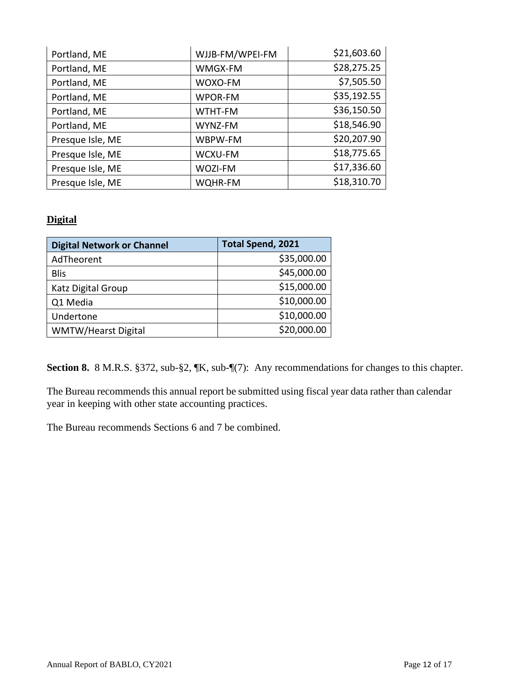| Portland, ME     | WJJB-FM/WPEI-FM | \$21,603.60 |
|------------------|-----------------|-------------|
| Portland, ME     | WMGX-FM         | \$28,275.25 |
| Portland, ME     | WOXO-FM         | \$7,505.50  |
| Portland, ME     | WPOR-FM         | \$35,192.55 |
| Portland, ME     | WTHT-FM         | \$36,150.50 |
| Portland, ME     | WYNZ-FM         | \$18,546.90 |
| Presque Isle, ME | WBPW-FM         | \$20,207.90 |
| Presque Isle, ME | WCXU-FM         | \$18,775.65 |
| Presque Isle, ME | WOZI-FM         | \$17,336.60 |
| Presque Isle, ME | WQHR-FM         | \$18,310.70 |

#### **Digital**

| <b>Digital Network or Channel</b> | <b>Total Spend, 2021</b> |
|-----------------------------------|--------------------------|
| AdTheorent                        | \$35,000.00              |
| <b>Blis</b>                       | \$45,000.00              |
| Katz Digital Group                | \$15,000.00              |
| Q1 Media                          | \$10,000.00              |
| Undertone                         | \$10,000.00              |
| WMTW/Hearst Digital               | \$20,000.00              |

Section 8. 8 M.R.S. §372, sub-§2,  $\mathbb{K}$ , sub- $\mathbb{I}(7)$ : Any recommendations for changes to this chapter.

The Bureau recommends this annual report be submitted using fiscal year data rather than calendar year in keeping with other state accounting practices.

The Bureau recommends Sections 6 and 7 be combined.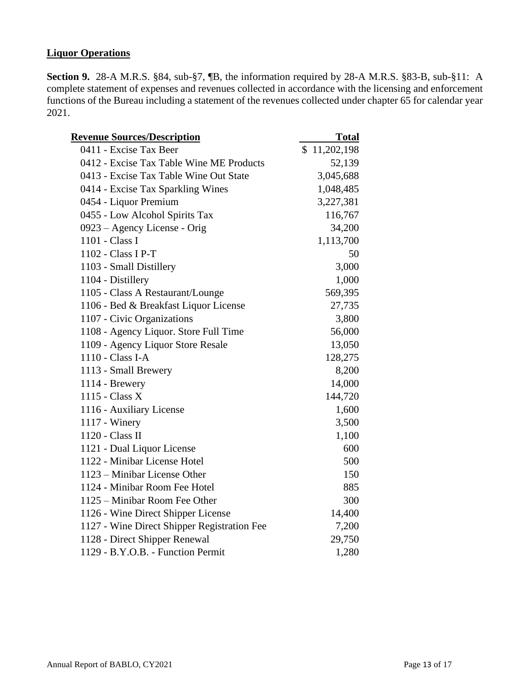#### **Liquor Operations**

**Section 9.** 28-A M.R.S. §84, sub-§7, ¶B, the information required by 28-A M.R.S. §83-B, sub-§11: A complete statement of expenses and revenues collected in accordance with the licensing and enforcement functions of the Bureau including a statement of the revenues collected under chapter 65 for calendar year 2021.

| <b>Revenue Sources/Description</b>          | <b>Total</b> |  |
|---------------------------------------------|--------------|--|
| 0411 - Excise Tax Beer                      | \$11,202,198 |  |
| 0412 - Excise Tax Table Wine ME Products    | 52,139       |  |
| 0413 - Excise Tax Table Wine Out State      | 3,045,688    |  |
| 0414 - Excise Tax Sparkling Wines           | 1,048,485    |  |
| 0454 - Liquor Premium                       | 3,227,381    |  |
| 0455 - Low Alcohol Spirits Tax              | 116,767      |  |
| 0923 - Agency License - Orig                | 34,200       |  |
| 1101 - Class I                              | 1,113,700    |  |
| 1102 - Class I P-T                          | 50           |  |
| 1103 - Small Distillery                     | 3,000        |  |
| 1104 - Distillery                           | 1,000        |  |
| 1105 - Class A Restaurant/Lounge            | 569,395      |  |
| 1106 - Bed & Breakfast Liquor License       | 27,735       |  |
| 1107 - Civic Organizations                  | 3,800        |  |
| 1108 - Agency Liquor. Store Full Time       | 56,000       |  |
| 1109 - Agency Liquor Store Resale           | 13,050       |  |
| 1110 - Class I-A                            | 128,275      |  |
| 1113 - Small Brewery                        | 8,200        |  |
| 1114 - Brewery                              | 14,000       |  |
| 1115 - Class X                              | 144,720      |  |
| 1116 - Auxiliary License                    | 1,600        |  |
| 1117 - Winery                               | 3,500        |  |
| 1120 - Class II                             | 1,100        |  |
| 1121 - Dual Liquor License                  | 600          |  |
| 1122 - Minibar License Hotel                | 500          |  |
| 1123 – Minibar License Other                | 150          |  |
| 1124 - Minibar Room Fee Hotel               | 885          |  |
| 1125 – Minibar Room Fee Other               | 300          |  |
| 1126 - Wine Direct Shipper License          | 14,400       |  |
| 1127 - Wine Direct Shipper Registration Fee | 7,200        |  |
| 1128 - Direct Shipper Renewal               | 29,750       |  |
| 1129 - B.Y.O.B. - Function Permit           | 1,280        |  |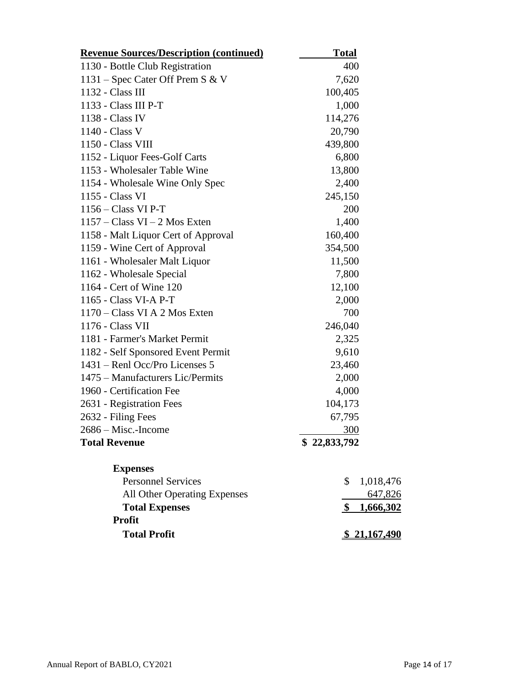| <b>Revenue Sources/Description (continued)</b> | <b>Total</b>                                 |
|------------------------------------------------|----------------------------------------------|
| 1130 - Bottle Club Registration                | 400                                          |
| 1131 – Spec Cater Off Prem S & V               | 7,620                                        |
| 1132 - Class III                               | 100,405                                      |
| 1133 - Class III P-T                           | 1,000                                        |
| 1138 - Class IV                                | 114,276                                      |
| 1140 - Class V                                 | 20,790                                       |
| 1150 - Class VIII                              | 439,800                                      |
| 1152 - Liquor Fees-Golf Carts                  | 6,800                                        |
| 1153 - Wholesaler Table Wine                   | 13,800                                       |
| 1154 - Wholesale Wine Only Spec                | 2,400                                        |
| 1155 - Class VI                                | 245,150                                      |
| $1156 - Class VI P-T$                          | 200                                          |
| $1157 - Class VI - 2 Mos Exten$                | 1,400                                        |
| 1158 - Malt Liquor Cert of Approval            | 160,400                                      |
| 1159 - Wine Cert of Approval                   | 354,500                                      |
| 1161 - Wholesaler Malt Liquor                  | 11,500                                       |
| 1162 - Wholesale Special                       | 7,800                                        |
| 1164 - Cert of Wine 120                        | 12,100                                       |
| 1165 - Class VI-A P-T                          | 2,000                                        |
| 1170 – Class VI A 2 Mos Exten                  | 700                                          |
| 1176 - Class VII                               | 246,040                                      |
| 1181 - Farmer's Market Permit                  | 2,325                                        |
| 1182 - Self Sponsored Event Permit             | 9,610                                        |
| 1431 – Renl Occ/Pro Licenses 5                 | 23,460                                       |
| 1475 – Manufacturers Lic/Permits               | 2,000                                        |
| 1960 - Certification Fee                       | 4,000                                        |
| 2631 - Registration Fees                       | 104,173                                      |
| 2632 - Filing Fees                             | 67,795                                       |
| $2686 -$ Misc.-Income                          | 300                                          |
| <b>Total Revenue</b>                           | \$22,833,792                                 |
| <b>Expenses</b>                                |                                              |
| <b>Personnel Services</b>                      | \$<br>1,018,476                              |
| All Other Operating Expenses                   | 647,826                                      |
| <b>Total Expenses</b>                          | 1,666,302<br>$\frac{\mathbf{S}}{\mathbf{S}}$ |
| <b>Profit</b>                                  |                                              |
| <b>Total Profit</b>                            | <u>\$21,167,490</u>                          |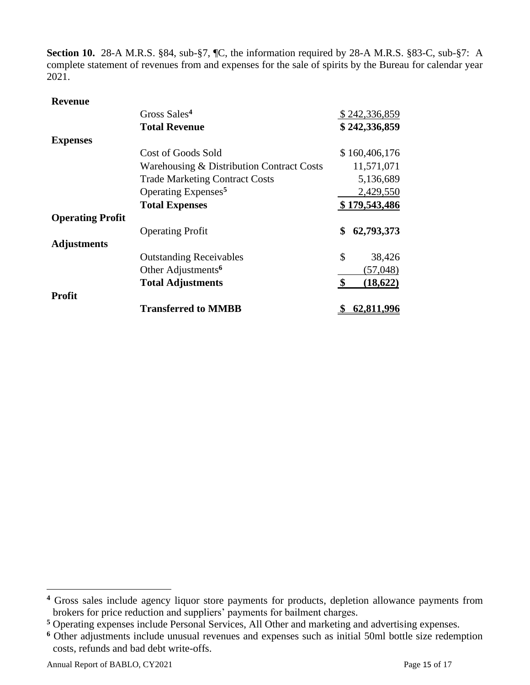**Section 10.** 28-A M.R.S. §84, sub-§7, ¶C, the information required by 28-A M.R.S. §83-C, sub-§7: A complete statement of revenues from and expenses for the sale of spirits by the Bureau for calendar year 2021.

|                         | Gross Sales <sup>4</sup>                  | \$242,336,859    |
|-------------------------|-------------------------------------------|------------------|
|                         | <b>Total Revenue</b>                      | \$242,336,859    |
| <b>Expenses</b>         |                                           |                  |
|                         | Cost of Goods Sold                        | \$160,406,176    |
|                         | Warehousing & Distribution Contract Costs | 11,571,071       |
|                         | <b>Trade Marketing Contract Costs</b>     | 5,136,689        |
|                         | Operating Expenses <sup>5</sup>           | 2,429,550        |
|                         | <b>Total Expenses</b>                     | \$179,543,486    |
| <b>Operating Profit</b> |                                           |                  |
|                         | <b>Operating Profit</b>                   | \$<br>62,793,373 |
| <b>Adjustments</b>      |                                           |                  |
|                         | <b>Outstanding Receivables</b>            | \$<br>38,426     |
|                         | Other Adjustments <sup>6</sup>            | (57, 048)        |
|                         | <b>Total Adjustments</b>                  | \$<br>(18,622)   |
| Profit                  |                                           |                  |
|                         | <b>Transferred to MMBB</b>                | <u>62,81</u>     |

**<sup>4</sup>** Gross sales include agency liquor store payments for products, depletion allowance payments from brokers for price reduction and suppliers' payments for bailment charges.

**<sup>5</sup>** Operating expenses include Personal Services, All Other and marketing and advertising expenses.

**<sup>6</sup>** Other adjustments include unusual revenues and expenses such as initial 50ml bottle size redemption costs, refunds and bad debt write-offs.